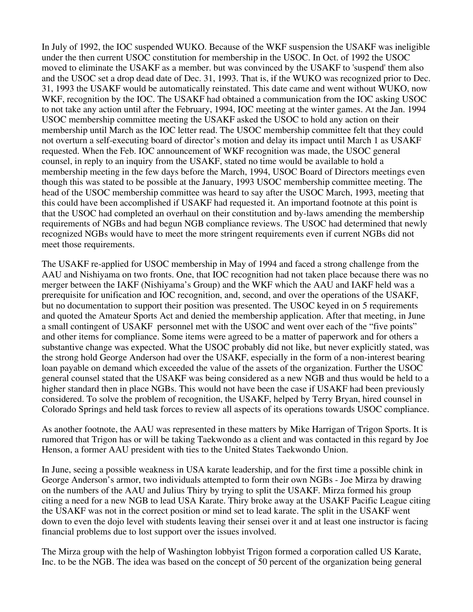In July of 1992, the IOC suspended WUKO. Because of the WKF suspension the USAKF was ineligible under the then current USOC constitution for membership in the USOC. In Oct. of 1992 the USOC moved to eliminate the USAKF as a member. but was convinced by the USAKF to 'suspend' them also and the USOC set a drop dead date of Dec. 31, 1993. That is, if the WUKO was recognized prior to Dec. 31, 1993 the USAKF would be automatically reinstated. This date came and went without WUKO, now WKF, recognition by the IOC. The USAKF had obtained a communication from the IOC asking USOC to not take any action until after the February, 1994, IOC meeting at the winter games. At the Jan. 1994 USOC membership committee meeting the USAKF asked the USOC to hold any action on their membership until March as the IOC letter read. The USOC membership committee felt that they could not overturn a self-executing board of director's motion and delay its impact until March 1 as USAKF requested. When the Feb. IOC announcement of WKF recognition was made, the USOC general counsel, in reply to an inquiry from the USAKF, stated no time would be available to hold a membership meeting in the few days before the March, 1994, USOC Board of Directors meetings even though this was stated to be possible at the January, 1993 USOC membership committee meeting. The head of the USOC membership committee was heard to say after the USOC March, 1993, meeting that this could have been accomplished if USAKF had requested it. An importand footnote at this point is that the USOC had completed an overhaul on their constitution and by-laws amending the membership requirements of NGBs and had begun NGB compliance reviews. The USOC had determined that newly recognized NGBs would have to meet the more stringent requirements even if current NGBs did not meet those requirements.

The USAKF re-applied for USOC membership in May of 1994 and faced a strong challenge from the AAU and Nishiyama on two fronts. One, that IOC recognition had not taken place because there was no merger between the IAKF (Nishiyama's Group) and the WKF which the AAU and IAKF held was a prerequisite for unification and IOC recognition, and, second, and over the operations of the USAKF, but no documentation to support their position was presented. The USOC keyed in on 5 requirements and quoted the Amateur Sports Act and denied the membership application. After that meeting, in June a small contingent of USAKF personnel met with the USOC and went over each of the "five points" and other items for compliance. Some items were agreed to be a matter of paperwork and for others a substantive change was expected. What the USOC probably did not like, but never explicitly stated, was the strong hold George Anderson had over the USAKF, especially in the form of a non-interest bearing loan payable on demand which exceeded the value of the assets of the organization. Further the USOC general counsel stated that the USAKF was being considered as a new NGB and thus would be held to a higher standard then in place NGBs. This would not have been the case if USAKF had been previously considered. To solve the problem of recognition, the USAKF, helped by Terry Bryan, hired counsel in Colorado Springs and held task forces to review all aspects of its operations towards USOC compliance.

As another footnote, the AAU was represented in these matters by Mike Harrigan of Trigon Sports. It is rumored that Trigon has or will be taking Taekwondo as a client and was contacted in this regard by Joe Henson, a former AAU president with ties to the United States Taekwondo Union.

In June, seeing a possible weakness in USA karate leadership, and for the first time a possible chink in George Anderson's armor, two individuals attempted to form their own NGBs - Joe Mirza by drawing on the numbers of the AAU and Julius Thiry by trying to split the USAKF. Mirza formed his group citing a need for a new NGB to lead USA Karate. Thiry broke away at the USAKF Pacific League citing the USAKF was not in the correct position or mind set to lead karate. The split in the USAKF went down to even the dojo level with students leaving their sensei over it and at least one instructor is facing financial problems due to lost support over the issues involved.

The Mirza group with the help of Washington lobbyist Trigon formed a corporation called US Karate, Inc. to be the NGB. The idea was based on the concept of 50 percent of the organization being general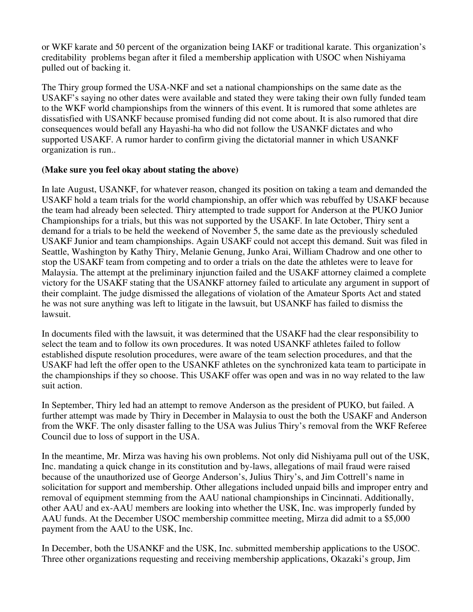or WKF karate and 50 percent of the organization being IAKF or traditional karate. This organization's creditability problems began after it filed a membership application with USOC when Nishiyama pulled out of backing it.

The Thiry group formed the USA-NKF and set a national championships on the same date as the USAKF's saying no other dates were available and stated they were taking their own fully funded team to the WKF world championships from the winners of this event. It is rumored that some athletes are dissatisfied with USANKF because promised funding did not come about. It is also rumored that dire consequences would befall any Hayashi-ha who did not follow the USANKF dictates and who supported USAKF. A rumor harder to confirm giving the dictatorial manner in which USANKF organization is run..

## **(Make sure you feel okay about stating the above)**

In late August, USANKF, for whatever reason, changed its position on taking a team and demanded the USAKF hold a team trials for the world championship, an offer which was rebuffed by USAKF because the team had already been selected. Thiry attempted to trade support for Anderson at the PUKO Junior Championships for a trials, but this was not supported by the USAKF. In late October, Thiry sent a demand for a trials to be held the weekend of November 5, the same date as the previously scheduled USAKF Junior and team championships. Again USAKF could not accept this demand. Suit was filed in Seattle, Washington by Kathy Thiry, Melanie Genung, Junko Arai, William Chadrow and one other to stop the USAKF team from competing and to order a trials on the date the athletes were to leave for Malaysia. The attempt at the preliminary injunction failed and the USAKF attorney claimed a complete victory for the USAKF stating that the USANKF attorney failed to articulate any argument in support of their complaint. The judge dismissed the allegations of violation of the Amateur Sports Act and stated he was not sure anything was left to litigate in the lawsuit, but USANKF has failed to dismiss the lawsuit.

In documents filed with the lawsuit, it was determined that the USAKF had the clear responsibility to select the team and to follow its own procedures. It was noted USANKF athletes failed to follow established dispute resolution procedures, were aware of the team selection procedures, and that the USAKF had left the offer open to the USANKF athletes on the synchronized kata team to participate in the championships if they so choose. This USAKF offer was open and was in no way related to the law suit action.

In September, Thiry led had an attempt to remove Anderson as the president of PUKO, but failed. A further attempt was made by Thiry in December in Malaysia to oust the both the USAKF and Anderson from the WKF. The only disaster falling to the USA was Julius Thiry's removal from the WKF Referee Council due to loss of support in the USA.

In the meantime, Mr. Mirza was having his own problems. Not only did Nishiyama pull out of the USK, Inc. mandating a quick change in its constitution and by-laws, allegations of mail fraud were raised because of the unauthorized use of George Anderson's, Julius Thiry's, and Jim Cottrell's name in solicitation for support and membership. Other allegations included unpaid bills and improper entry and removal of equipment stemming from the AAU national championships in Cincinnati. Additionally, other AAU and ex-AAU members are looking into whether the USK, Inc. was improperly funded by AAU funds. At the December USOC membership committee meeting, Mirza did admit to a \$5,000 payment from the AAU to the USK, Inc.

In December, both the USANKF and the USK, Inc. submitted membership applications to the USOC. Three other organizations requesting and receiving membership applications, Okazaki's group, Jim